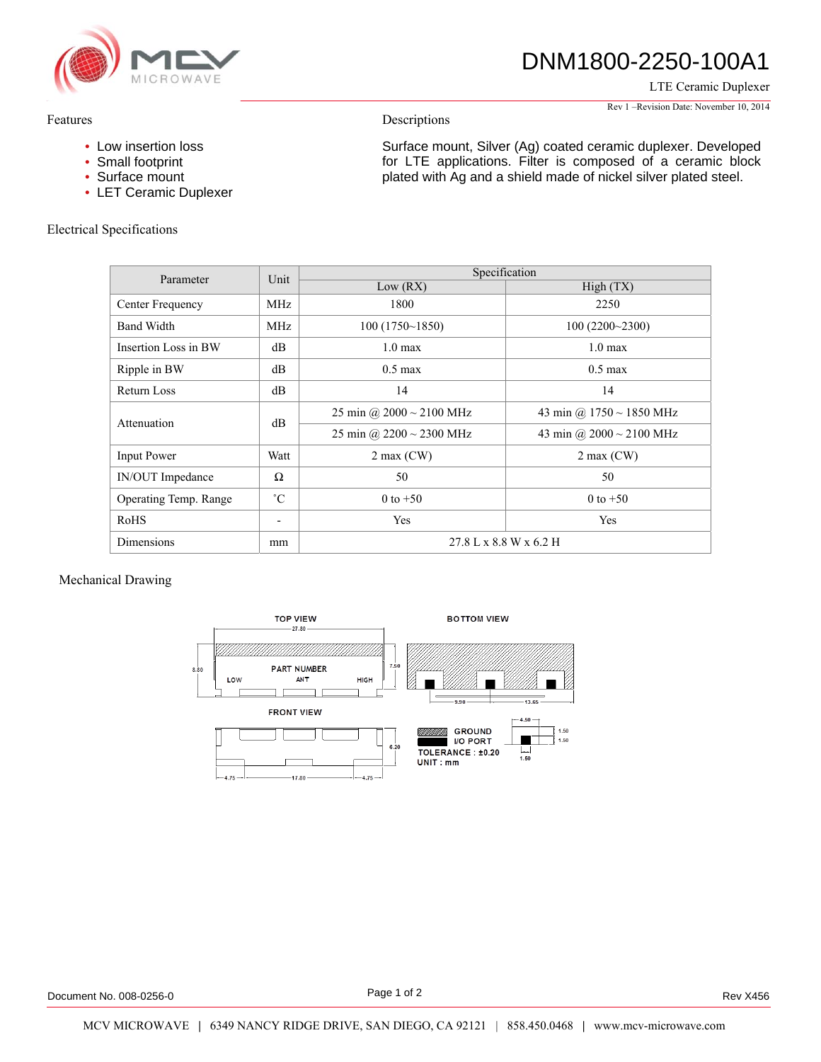

## DNM1800-2250-100A1

LTE Ceramic Duplexer

Rev 1 –Revision Date: November 10, 2014

Features

- Low insertion loss
- Small footprint
- Surface mount
- LET Ceramic Duplexer

## Electrical Specifications

Surface mount, Silver (Ag) coated ceramic duplexer. Developed for LTE applications. Filter is composed of a ceramic block plated with Ag and a shield made of nickel silver plated steel.

| Parameter             | Unit                     | Specification                 |                               |
|-----------------------|--------------------------|-------------------------------|-------------------------------|
|                       |                          | Low (RX)                      | High(TX)                      |
| Center Frequency      | MHz                      | 1800                          | 2250                          |
| <b>Band Width</b>     | MHz                      | 100(1750~1850)                | 100(2200~2300)                |
| Insertion Loss in BW  | dB                       | $1.0 \text{ max}$             | $1.0 \text{ max}$             |
| Ripple in BW          | dB                       | $0.5 \text{ max}$             | $0.5 \text{ max}$             |
| Return Loss           | dB                       | 14                            | 14                            |
| Attenuation           | dB                       | 25 min @ $2000 \sim 2100$ MHz | 43 min @ $1750 \sim 1850$ MHz |
|                       |                          | 25 min @ $2200 \sim 2300$ MHz | 43 min @ $2000 \sim 2100$ MHz |
| <b>Input Power</b>    | Watt                     | $2$ max $(CW)$                | $2$ max $(CW)$                |
| IN/OUT Impedance      | $\Omega$                 | 50                            | 50                            |
| Operating Temp. Range | $^{\circ}C$              | 0 to $+50$                    | 0 to $+50$                    |
| RoHS                  | $\overline{\phantom{0}}$ | Yes                           | Yes                           |
| Dimensions            | mm                       | 27.8 L x 8.8 W x 6.2 H        |                               |

Descriptions

Mechanical Drawing